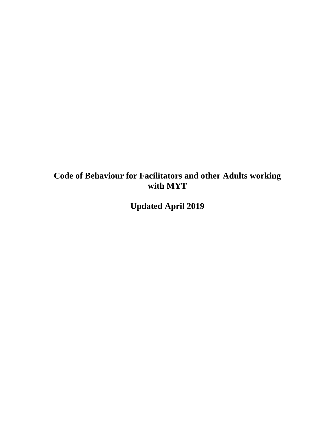# **Code of Behaviour for Facilitators and other Adults working with MYT**

**Updated April 2019**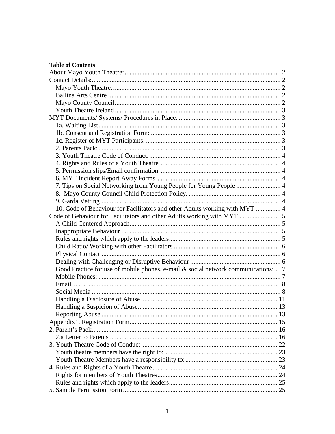| <b>Table of Contents</b>                                                          |  |
|-----------------------------------------------------------------------------------|--|
|                                                                                   |  |
|                                                                                   |  |
|                                                                                   |  |
|                                                                                   |  |
|                                                                                   |  |
|                                                                                   |  |
|                                                                                   |  |
|                                                                                   |  |
|                                                                                   |  |
|                                                                                   |  |
|                                                                                   |  |
|                                                                                   |  |
|                                                                                   |  |
|                                                                                   |  |
|                                                                                   |  |
|                                                                                   |  |
| 7. Tips on Social Networking from Young People for Young People  4                |  |
|                                                                                   |  |
|                                                                                   |  |
| 10. Code of Behaviour for Facilitators and other Adults working with MYT  4       |  |
|                                                                                   |  |
|                                                                                   |  |
|                                                                                   |  |
|                                                                                   |  |
|                                                                                   |  |
|                                                                                   |  |
|                                                                                   |  |
| Good Practice for use of mobile phones, e-mail & social network communications: 7 |  |
|                                                                                   |  |
|                                                                                   |  |
|                                                                                   |  |
|                                                                                   |  |
|                                                                                   |  |
|                                                                                   |  |
|                                                                                   |  |
|                                                                                   |  |
|                                                                                   |  |
|                                                                                   |  |
|                                                                                   |  |
|                                                                                   |  |
|                                                                                   |  |
|                                                                                   |  |
|                                                                                   |  |
|                                                                                   |  |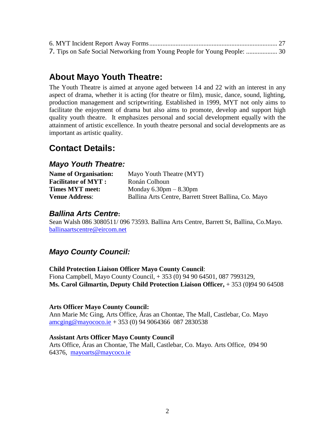| 7. Tips on Safe Social Networking from Young People for Young People:  30 |  |
|---------------------------------------------------------------------------|--|

# <span id="page-2-0"></span>**About Mayo Youth Theatre:**

The Youth Theatre is aimed at anyone aged between 14 and 22 with an interest in any aspect of drama, whether it is acting (for theatre or film), music, dance, sound, lighting, production management and scriptwriting. Established in 1999, MYT not only aims to facilitate the enjoyment of drama but also aims to promote, develop and support high quality youth theatre. It emphasizes personal and social development equally with the attainment of artistic excellence. In youth theatre personal and social developments are as important as artistic quality.

# <span id="page-2-1"></span>**Contact Details:**

### <span id="page-2-2"></span>*Mayo Youth Theatre:*

| <b>Name of Organisation:</b> | Mayo Youth Theatre (MYT)                              |
|------------------------------|-------------------------------------------------------|
| <b>Facilitator of MYT:</b>   | Ronán Colhoun                                         |
| <b>Times MYT meet:</b>       | Monday $6.30 \text{pm} - 8.30 \text{pm}$              |
| <b>Venue Address:</b>        | Ballina Arts Centre, Barrett Street Ballina, Co. Mayo |

### <span id="page-2-3"></span>*Ballina Arts Centre***:**

Sean Walsh 086 3080511/ 096 73593. Ballina Arts Centre, Barrett St, Ballina, Co.Mayo. [ballinaartscentre@eircom.net](mailto:ballinaartscentre@eircom.net)

### <span id="page-2-4"></span>*Mayo County Council:*

### **Child Protection Liaison Officer Mayo County Council**:

Fiona Campbell, Mayo County Council, + 353 (0) 94 90 64501, 087 7993129, **Ms. Carol Gilmartin, Deputy Child Protection Liaison Officer,** + 353 (0**)**94 90 64508

#### **Arts Officer Mayo County Council:**

Ann Marie Mc Ging, Arts Office, Áras an Chontae, The Mall, Castlebar, Co. Mayo  $\frac{\text{ameging}\omega_{\text{mayococo.}}}{\text{mayococo.}}$  + 353 (0) 94 9064366 087 2830538

#### **Assistant Arts Officer Mayo County Council**

Arts Office, Áras an Chontae, The Mall, Castlebar, Co. Mayo. Arts Office, 094 90 64376, [mayoarts@maycoco.ie](mailto:mayoarts@maycoco.ie)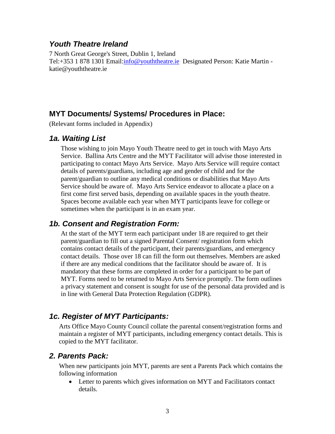### <span id="page-3-0"></span>*Youth Theatre Ireland*

7 North Great George's Street, Dublin 1, Ireland Tel:+353 1 878 1301 Email[:info@youththeatre.ie](mailto:info@youththeatre.ie) Designated Person: Katie Martin katie@youththeatre.ie

### <span id="page-3-1"></span>**MYT Documents/ Systems/ Procedures in Place:**

<span id="page-3-2"></span>(Relevant forms included in Appendix)

### *1a. Waiting List*

Those wishing to join Mayo Youth Theatre need to get in touch with Mayo Arts Service. Ballina Arts Centre and the MYT Facilitator will advise those interested in participating to contact Mayo Arts Service. Mayo Arts Service will require contact details of parents/guardians, including age and gender of child and for the parent/guardian to outline any medical conditions or disabilities that Mayo Arts Service should be aware of. Mayo Arts Service endeavor to allocate a place on a first come first served basis, depending on available spaces in the youth theatre. Spaces become available each year when MYT participants leave for college or sometimes when the participant is in an exam year.

### <span id="page-3-3"></span>*1b. Consent and Registration Form:*

At the start of the MYT term each participant under 18 are required to get their parent/guardian to fill out a signed Parental Consent/ registration form which contains contact details of the participant, their parents/guardians, and emergency contact details. Those over 18 can fill the form out themselves. Members are asked if there are any medical conditions that the facilitator should be aware of. It is mandatory that these forms are completed in order for a participant to be part of MYT. Forms need to be returned to Mayo Arts Service promptly. The form outlines a privacy statement and consent is sought for use of the personal data provided and is in line with General Data Protection Regulation (GDPR).

# <span id="page-3-4"></span>*1c. Register of MYT Participants:*

Arts Office Mayo County Council collate the parental consent/registration forms and maintain a register of MYT participants, including emergency contact details. This is copied to the MYT facilitator.

### <span id="page-3-5"></span>*2. Parents Pack:*

When new participants join MYT, parents are sent a Parents Pack which contains the following information

• Letter to parents which gives information on MYT and Facilitators contact details.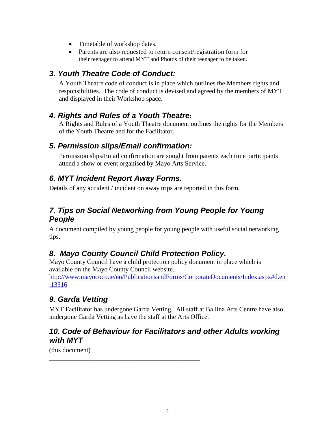- Timetable of workshop dates.
- Parents are also requested to return consent/registration form for their teenager to attend MYT and Photos of their teenager to be taken.

## <span id="page-4-0"></span>*3. Youth Theatre Code of Conduct:*

A Youth Theatre code of conduct is in place which outlines the Members rights and responsibilities. The code of conduct is devised and agreed by the members of MYT and displayed in their Workshop space.

## <span id="page-4-1"></span>*4. Rights and Rules of a Youth Theatre***:**

A Rights and Rules of a Youth Theatre document outlines the rights for the Members of the Youth Theatre and for the Facilitator.

## <span id="page-4-2"></span>*5. Permission slips/Email confirmation:*

Permission slips/Email confirmation are sought from parents each time participants attend a show or event organised by Mayo Arts Service.

# <span id="page-4-3"></span>*6. MYT Incident Report Away Forms.*

Details of any accident / incident on away trips are reported in this form.

# <span id="page-4-4"></span>*7. Tips on Social Networking from Young People for Young People*

A document compiled by young people for young people with useful social networking tips.

# <span id="page-4-5"></span>*8. Mayo County Council Child Protection Policy.*

\_\_\_\_\_\_\_\_\_\_\_\_\_\_\_\_\_\_\_\_\_\_\_\_\_\_\_\_\_\_\_\_\_\_\_\_\_\_\_\_\_\_\_\_\_\_

Mayo County Council have a child protection policy document in place which is available on the Mayo County Council website.

[http://www.mayococo.ie/en/PublicationsandForms/CorporateDocuments/Index.aspx#d.en](http://www.mayococo.ie/en/PublicationsandForms/CorporateDocuments/Index.aspx#d.en.13516) [.13516](http://www.mayococo.ie/en/PublicationsandForms/CorporateDocuments/Index.aspx#d.en.13516)

# <span id="page-4-6"></span>*9. Garda Vetting*

MYT Facilitator has undergone Garda Vetting. All staff at Ballina Arts Centre have also undergone Garda Vetting as have the staff at the Arts Office.

## <span id="page-4-7"></span>*10. Code of Behaviour for Facilitators and other Adults working with MYT*

(this document)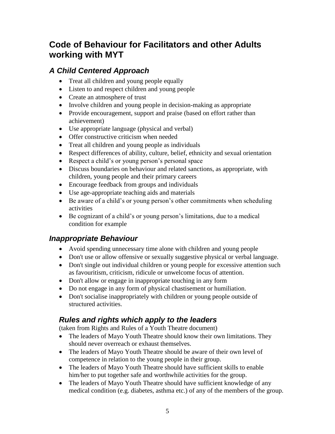# <span id="page-5-0"></span>**Code of Behaviour for Facilitators and other Adults working with MYT**

# <span id="page-5-1"></span>*A Child Centered Approach*

- Treat all children and young people equally
- Listen to and respect children and young people
- Create an atmosphere of trust
- Involve children and young people in decision-making as appropriate
- Provide encouragement, support and praise (based on effort rather than achievement)
- Use appropriate language (physical and verbal)
- Offer constructive criticism when needed
- Treat all children and young people as individuals
- Respect differences of ability, culture, belief, ethnicity and sexual orientation
- Respect a child's or young person's personal space
- Discuss boundaries on behaviour and related sanctions, as appropriate, with children, young people and their primary careers
- Encourage feedback from groups and individuals
- Use age-appropriate teaching aids and materials
- Be aware of a child's or young person's other commitments when scheduling activities
- Be cognizant of a child's or young person's limitations, due to a medical condition for example

# <span id="page-5-2"></span>*Inappropriate Behaviour*

- Avoid spending unnecessary time alone with children and young people
- Don't use or allow offensive or sexually suggestive physical or verbal language.
- Don't single out individual children or young people for excessive attention such as favouritism, criticism, ridicule or unwelcome focus of attention.
- Don't allow or engage in inappropriate touching in any form
- Do not engage in any form of physical chastisement or humiliation.
- Don't socialise inappropriately with children or young people outside of structured activities.

# <span id="page-5-3"></span>*Rules and rights which apply to the leaders*

(taken from Rights and Rules of a Youth Theatre document)

- The leaders of Mayo Youth Theatre should know their own limitations. They should never overreach or exhaust themselves.
- The leaders of Mayo Youth Theatre should be aware of their own level of competence in relation to the young people in their group.
- The leaders of Mayo Youth Theatre should have sufficient skills to enable him/her to put together safe and worthwhile activities for the group.
- The leaders of Mayo Youth Theatre should have sufficient knowledge of any medical condition (e.g. diabetes, asthma etc.) of any of the members of the group.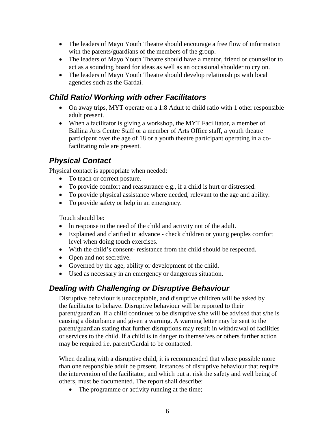- The leaders of Mayo Youth Theatre should encourage a free flow of information with the parents/guardians of the members of the group.
- The leaders of Mayo Youth Theatre should have a mentor, friend or counsellor to act as a sounding board for ideas as well as an occasional shoulder to cry on.
- The leaders of Mayo Youth Theatre should develop relationships with local agencies such as the Gardaí.

## <span id="page-6-0"></span>*Child Ratio/ Working with other Facilitators*

- On away trips, MYT operate on a 1:8 Adult to child ratio with 1 other responsible adult present.
- When a facilitator is giving a workshop, the MYT Facilitator, a member of Ballina Arts Centre Staff or a member of Arts Office staff, a youth theatre participant over the age of 18 or a youth theatre participant operating in a cofacilitating role are present.

# <span id="page-6-1"></span>*Physical Contact*

Physical contact is appropriate when needed:

- To teach or correct posture.
- To provide comfort and reassurance e.g., if a child is hurt or distressed.
- To provide physical assistance where needed, relevant to the age and ability.
- To provide safety or help in an emergency.

Touch should be:

- In response to the need of the child and activity not of the adult.
- Explained and clarified in advance check children or young peoples comfort level when doing touch exercises.
- With the child's consent- resistance from the child should be respected.
- Open and not secretive.
- Governed by the age, ability or development of the child.
- Used as necessary in an emergency or dangerous situation.

### <span id="page-6-2"></span>*Dealing with Challenging or Disruptive Behaviour*

Disruptive behaviour is unacceptable, and disruptive children will be asked by the facilitator to behave. Disruptive behaviour will be reported to their parent/guardian. lf a child continues to be disruptive s/he will be advised that s/he is causing a disturbance and given a warning. A warning letter may be sent to the parent/guardian stating that further disruptions may result in withdrawal of facilities or services to the child. lf a child is in danger to themselves or others further action may be required i.e. parent/Gardai to be contacted.

When dealing with a disruptive child, it is recommended that where possible more than one responsible adult be present. Instances of disruptive behaviour that require the intervention of the facilitator, and which put at risk the safety and well being of others, must be documented. The report shall describe:

• The programme or activity running at the time;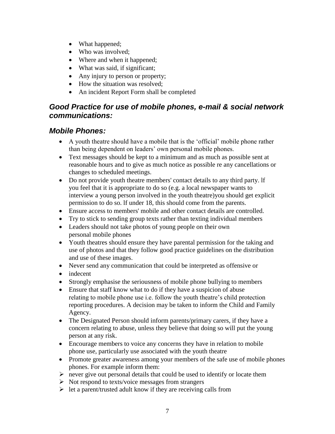- What happened;
- Who was involved;
- Where and when it happened;
- What was said, if significant;
- Any injury to person or property;
- How the situation was resolved;
- An incident Report Form shall be completed

# <span id="page-7-0"></span>*Good Practice for use of mobile phones, e-mail & social network communications:*

### <span id="page-7-1"></span>*Mobile Phones:*

- A youth theatre should have a mobile that is the 'official' mobile phone rather than being dependent on leaders' own personal mobile phones.
- Text messages should be kept to a minimum and as much as possible sent at reasonable hours and to give as much notice as possible re any cancellations or changes to scheduled meetings.
- Do not provide youth theatre members' contact details to any third party. If you feel that it is appropriate to do so (e.g. a local newspaper wants to interview a young person involved in the youth theatre)you should get explicit permission to do so. lf under 18, this should come from the parents.
- Ensure access to members' mobile and other contact details are controlled.
- Try to stick to sending group texts rather than texting individual members
- Leaders should not take photos of young people on their own personal mobile phones
- Youth theatres should ensure they have parental permission for the taking and use of photos and that they follow good practice guidelines on the distribution and use of these images.
- Never send any communication that could be interpreted as offensive or
- indecent
- Strongly emphasise the seriousness of mobile phone bullying to members
- Ensure that staff know what to do if they have a suspicion of abuse relating to mobile phone use i.e. follow the youth theatre's child protection reporting procedures. A decision may be taken to inform the Child and Family Agency.
- The Designated Person should inform parents/primary carers, if they have a concern relating to abuse, unless they believe that doing so will put the young person at any risk.
- Encourage members to voice any concerns they have in relation to mobile phone use, particularly use associated with the youth theatre
- Promote greater awareness among your members of the safe use of mobile phones phones. For example inform them:
- $\triangleright$  never give out personal details that could be used to identify or locate them
- $\triangleright$  Not respond to texts/voice messages from strangers
- $\triangleright$  let a parent/trusted adult know if they are receiving calls from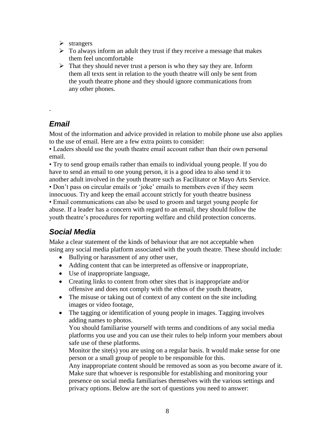- ➢ strangers
- $\triangleright$  To always inform an adult they trust if they receive a message that makes them feel uncomfortable
- ➢ That they should never trust a person is who they say they are. Inform them all texts sent in relation to the youth theatre will only be sent from the youth theatre phone and they should ignore communications from any other phones.

# *Email*

<span id="page-8-0"></span>-

Most of the information and advice provided in relation to mobile phone use also applies to the use of email. Here are a few extra points to consider:

• Leaders should use the youth theatre email account rather than their own personal email.

• Try to send group emails rather than emails to individual young people. If you do have to send an email to one young person, it is a good idea to also send it to another adult involved in the youth theatre such as Facilitator or Mayo Arts Service.

• Don't pass on circular emails or 'joke' emails to members even if they seem

innocuous. Try and keep the email account strictly for youth theatre business • Email communications can also be used to groom and target young people for abuse. If a leader has a concern with regard to an email, they should follow the youth theatre's procedures for reporting welfare and child protection concerns.

# <span id="page-8-1"></span>*Social Media*

Make a clear statement of the kinds of behaviour that are not acceptable when using any social media platform associated with the youth theatre. These should include:

- Bullying or harassment of any other user,
- Adding content that can be interpreted as offensive or inappropriate,
- Use of inappropriate language,
- Creating links to content from other sites that is inappropriate and/or offensive and does not comply with the ethos of the youth theatre,
- The misuse or taking out of context of any content on the site including images or video footage,
- The tagging or identification of young people in images. Tagging involves adding names to photos.

You should familiarise yourself with terms and conditions of any social media platforms you use and you can use their rules to help inform your members about safe use of these platforms.

Monitor the site(s) you are using on a regular basis. It would make sense for one person or a small group of people to be responsible for this.

Any inappropriate content should be removed as soon as you become aware of it. Make sure that whoever is responsible for establishing and monitoring your presence on social media familiarises themselves with the various settings and privacy options. Below are the sort of questions you need to answer: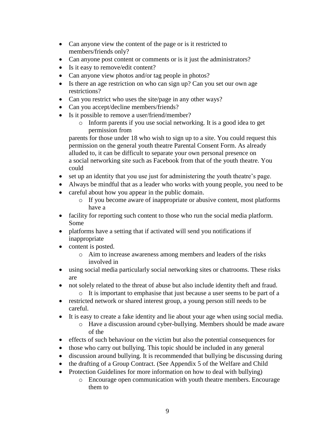- Can anyone view the content of the page or is it restricted to members/friends only?
- Can anyone post content or comments or is it just the administrators?
- Is it easy to remove/edit content?
- Can anyone view photos and/or tag people in photos?
- Is there an age restriction on who can sign up? Can you set our own age restrictions?
- Can you restrict who uses the site/page in any other ways?
- Can you accept/decline members/friends?
- Is it possible to remove a user/friend/member?
	- o Inform parents if you use social networking. It is a good idea to get permission from

parents for those under 18 who wish to sign up to a site. You could request this permission on the general youth theatre Parental Consent Form. As already alluded to, it can be difficult to separate your own personal presence on a social networking site such as Facebook from that of the youth theatre. You could

- set up an identity that you use just for administering the youth theatre's page.
- Always be mindful that as a leader who works with young people, you need to be
- careful about how you appear in the public domain.
	- o If you become aware of inappropriate or abusive content, most platforms have a
- facility for reporting such content to those who run the social media platform. Some
- platforms have a setting that if activated will send you notifications if inappropriate
- content is posted.
	- o Aim to increase awareness among members and leaders of the risks involved in
- using social media particularly social networking sites or chatrooms. These risks are
- not solely related to the threat of abuse but also include identity theft and fraud.
	- o It is important to emphasise that just because a user seems to be part of a
- restricted network or shared interest group, a young person still needs to be careful.
- It is easy to create a fake identity and lie about your age when using social media.
	- o Have a discussion around cyber-bullying. Members should be made aware of the
- effects of such behaviour on the victim but also the potential consequences for
- those who carry out bullying. This topic should be included in any general
- discussion around bullying. It is recommended that bullying be discussing during
- the drafting of a Group Contract. (See Appendix 5 of the Welfare and Child
- Protection Guidelines for more information on how to deal with bullying)
	- o Encourage open communication with youth theatre members. Encourage them to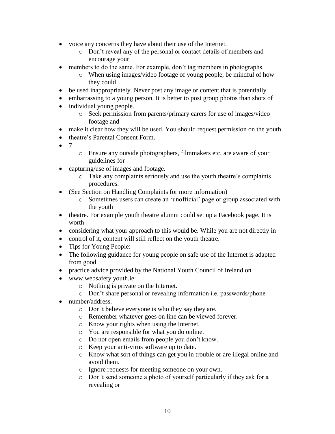- voice any concerns they have about their use of the Internet.
	- o Don't reveal any of the personal or contact details of members and encourage your
- members to do the same. For example, don't tag members in photographs.
	- o When using images/video footage of young people, be mindful of how they could
- be used inappropriately. Never post any image or content that is potentially
- embarrassing to a young person. It is better to post group photos than shots of
- individual young people.
	- o Seek permission from parents/primary carers for use of images/video footage and
- make it clear how they will be used. You should request permission on the youth
- theatre's Parental Consent Form.
- $^{\bullet}$  7
- o Ensure any outside photographers, filmmakers etc. are aware of your guidelines for
- capturing/use of images and footage.
	- o Take any complaints seriously and use the youth theatre's complaints procedures.
- (See Section on Handling Complaints for more information)
	- o Sometimes users can create an 'unofficial' page or group associated with the youth
- theatre. For example youth theatre alumni could set up a Facebook page. It is worth
- considering what your approach to this would be. While you are not directly in
- control of it, content will still reflect on the youth theatre.
- Tips for Young People:
- The following guidance for young people on safe use of the Internet is adapted from good
- practice advice provided by the National Youth Council of Ireland on
- www.websafety.youth.ie
	- o Nothing is private on the Internet.
	- o Don't share personal or revealing information i.e. passwords/phone
- number/address.
	- o Don't believe everyone is who they say they are.
	- o Remember whatever goes on line can be viewed forever.
	- o Know your rights when using the Internet.
	- o You are responsible for what you do online.
	- o Do not open emails from people you don't know.
	- o Keep your anti-virus software up to date.
	- o Know what sort of things can get you in trouble or are illegal online and avoid them.
	- o Ignore requests for meeting someone on your own.
	- o Don't send someone a photo of yourself particularly if they ask for a revealing or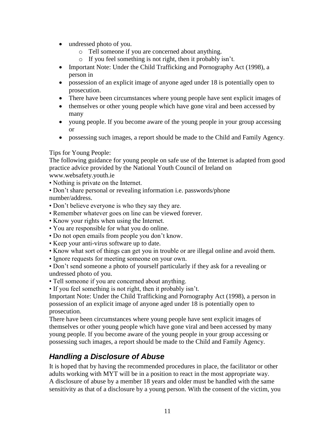- undressed photo of you.
	- o Tell someone if you are concerned about anything.
	- o If you feel something is not right, then it probably isn't.
- Important Note: Under the Child Trafficking and Pornography Act (1998), a person in
- possession of an explicit image of anyone aged under 18 is potentially open to prosecution.
- There have been circumstances where young people have sent explicit images of
- themselves or other young people which have gone viral and been accessed by many
- young people. If you become aware of the young people in your group accessing or
- possessing such images, a report should be made to the Child and Family Agency.

### Tips for Young People:

The following guidance for young people on safe use of the Internet is adapted from good practice advice provided by the National Youth Council of Ireland on www.websafety.youth.ie

- Nothing is private on the Internet.
- Don't share personal or revealing information i.e. passwords/phone number/address.
- Don't believe everyone is who they say they are.
- Remember whatever goes on line can be viewed forever.
- Know your rights when using the Internet.
- You are responsible for what you do online.
- Do not open emails from people you don't know.
- Keep your anti-virus software up to date.
- Know what sort of things can get you in trouble or are illegal online and avoid them.
- Ignore requests for meeting someone on your own.

• Don't send someone a photo of yourself particularly if they ask for a revealing or undressed photo of you.

• Tell someone if you are concerned about anything.

• If you feel something is not right, then it probably isn't.

Important Note: Under the Child Trafficking and Pornography Act (1998), a person in possession of an explicit image of anyone aged under 18 is potentially open to prosecution.

There have been circumstances where young people have sent explicit images of themselves or other young people which have gone viral and been accessed by many young people. If you become aware of the young people in your group accessing or possessing such images, a report should be made to the Child and Family Agency.

# <span id="page-11-0"></span>*Handling a Disclosure of Abuse*

It is hoped that by having the recommended procedures in place, the facilitator or other adults working with MYT will be in a position to react in the most appropriate way. A disclosure of abuse by a member 18 years and older must be handled with the same sensitivity as that of a disclosure by a young person. With the consent of the victim, you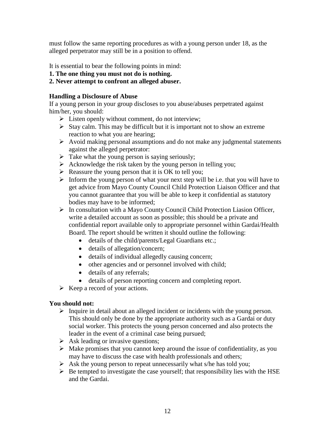must follow the same reporting procedures as with a young person under 18, as the alleged perpetrator may still be in a position to offend.

It is essential to bear the following points in mind:

- **1. The one thing you must not do is nothing.**
- **2. Never attempt to confront an alleged abuser.**

#### **Handling a Disclosure of Abuse**

If a young person in your group discloses to you abuse/abuses perpetrated against him/her, you should:

- ➢ Listen openly without comment, do not interview;
- $\triangleright$  Stay calm. This may be difficult but it is important not to show an extreme reaction to what you are hearing;
- ➢ Avoid making personal assumptions and do not make any judgmental statements against the alleged perpetrator:
- $\triangleright$  Take what the young person is saying seriously;
- $\triangleright$  Acknowledge the risk taken by the young person in telling you;
- $\triangleright$  Reassure the young person that it is OK to tell you;
- ➢ Inform the young person of what your next step will be i.e. that you will have to get advice from Mayo County Council Child Protection Liaison Officer and that you cannot guarantee that you will be able to keep it confidential as statutory bodies may have to be informed;
- ➢ In consultation with a Mayo County Council Child Protection Liasion Officer, write a detailed account as soon as possible; this should be a private and confidential report available only to appropriate personnel within Gardai/Health Board. The report should be written it should outline the following:
	- details of the child/parents/Legal Guardians etc.;
	- details of allegation/concern;
	- details of individual allegedly causing concern;
	- other agencies and or personnel involved with child;
	- details of any referrals;
	- details of person reporting concern and completing report.
- $\triangleright$  Keep a record of your actions.

### **You should not:**

- ➢ Inquire in detail about an alleged incident or incidents with the young person. This should only be done by the appropriate authority such as a Gardai or duty social worker. This protects the young person concerned and also protects the leader in the event of a criminal case being pursued;
- $\triangleright$  Ask leading or invasive questions;
- $\triangleright$  Make promises that you cannot keep around the issue of confidentiality, as you may have to discuss the case with health professionals and others;
- $\triangleright$  Ask the young person to repeat unnecessarily what s/he has told you;
- $\triangleright$  Be tempted to investigate the case yourself; that responsibility lies with the HSE and the Gardai.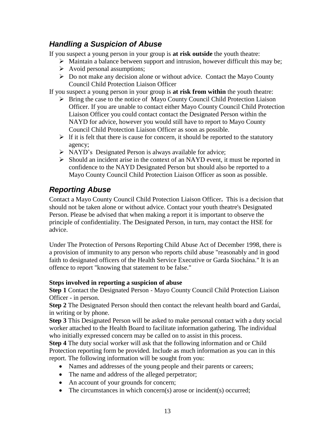# <span id="page-13-0"></span>*Handling a Suspicion of Abuse*

If you suspect a young person in your group is **at risk outside** the youth theatre:

- ➢ Maintain a balance between support and intrusion, however difficult this may be;
- ➢ Avoid personal assumptions;
- ➢ Do not make any decision alone or without advice. Contact the Mayo County Council Child Protection Liaison Officer

If you suspect a young person in your group is **at risk from within** the youth theatre:

- ➢ Bring the case to the notice of Mayo County Council Child Protection Liaison Officer. If you are unable to contact either Mayo County Council Child Protection Liaison Officer you could contact contact the Designated Person within the NAYD for advice, however you would still have to report to Mayo County Council Child Protection Liaison Officer as soon as possible.
- $\triangleright$  If it is felt that there is cause for concern, it should be reported to the statutory agency;
- ➢ NAYD's Designated Person is always available for advice;
- ➢ Should an incident arise in the context of an NAYD event, it must be reported in confidence to the NAYD Designated Person but should also be reported to a Mayo County Council Child Protection Liaison Officer as soon as possible.

# <span id="page-13-1"></span>*Reporting Abuse*

Contact a Mayo County Council Child Protection Liaison Officer**.** This is a decision that should not be taken alone or without advice. Contact your youth theatre's Designated Person. Please be advised that when making a report it is important to observe the principle of confidentiality. The Designated Person, in turn, may contact the HSE for advice.

Under The Protection of Persons Reporting Child Abuse Act of December 1998, there is a provision of immunity to any person who reports child abuse "reasonably and in good faith to designated officers of the Health Service Executive or Garda Siochána." It is an offence to report "knowing that statement to be false."

### **Steps involved in reporting a suspicion of abuse**

**Step 1** Contact the Designated Person - Mayo County Council Child Protection Liaison Officer - in person.

**Step 2** The Designated Person should then contact the relevant health board and Gardaí, in writing or by phone.

**Step 3** This Designated Person will be asked to make personal contact with a duty social worker attached to the Health Board to facilitate information gathering. The individual who initially expressed concern may be called on to assist in this process.

**Step 4** The duty social worker will ask that the following information and or Child Protection reporting form be provided. Include as much information as you can in this report. The following information will be sought from you:

- Names and addresses of the young people and their parents or careers;
- The name and address of the alleged perpetrator;
- An account of your grounds for concern;
- The circumstances in which concern(s) arose or incident(s) occurred;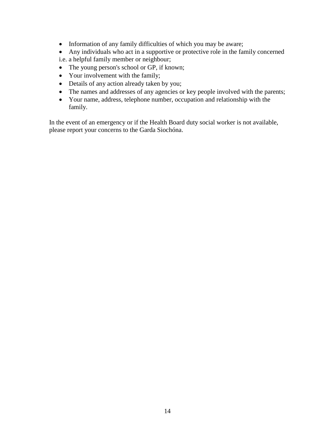- Information of any family difficulties of which you may be aware;
- Any individuals who act in a supportive or protective role in the family concerned
- i.e. a helpful family member or neighbour;
- The young person's school or GP, if known;
- Your involvement with the family;
- Details of any action already taken by you;
- The names and addresses of any agencies or key people involved with the parents;
- Your name, address, telephone number, occupation and relationship with the family.

In the event of an emergency or if the Health Board duty social worker is not available, please report your concerns to the Garda Siochóna.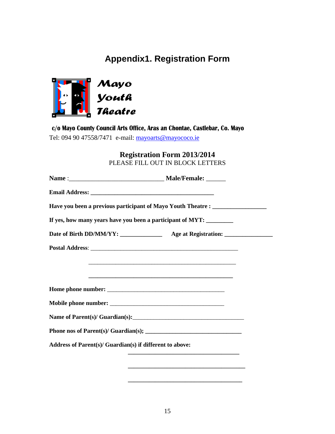# **Appendix1. Registration Form**

<span id="page-15-0"></span>

c/o Mayo County Council Arts Office, Aras an Chontae, Castlebar, Co. Mayo Tel: 094 90 47558/7471 e-mail: [mayoarts@mayococo.ie](mailto:mayoarts@mayococo.ie)

> **Registration Form 2013/2014** PLEASE FILL OUT IN BLOCK LETTERS

|                                                          | Have you been a previous participant of Mayo Youth Theatre : ___________________ |  |
|----------------------------------------------------------|----------------------------------------------------------------------------------|--|
|                                                          | If yes, how many years have you been a participant of MYT:                       |  |
|                                                          |                                                                                  |  |
|                                                          |                                                                                  |  |
|                                                          | <u> 1989 - Johann Barn, mars an t-Amerikaansk kommunister (* 1958)</u>           |  |
|                                                          |                                                                                  |  |
|                                                          |                                                                                  |  |
|                                                          |                                                                                  |  |
|                                                          |                                                                                  |  |
|                                                          |                                                                                  |  |
| Address of Parent(s)/ Guardian(s) if different to above: |                                                                                  |  |
|                                                          | <u> 1989 - Johann Barbara, margaret eta idazlea (h. 1989).</u>                   |  |
|                                                          |                                                                                  |  |

**\_\_\_\_\_\_\_\_\_\_\_\_\_\_\_\_\_\_\_\_\_\_\_\_\_\_\_\_\_\_\_\_\_\_\_\_\_\_**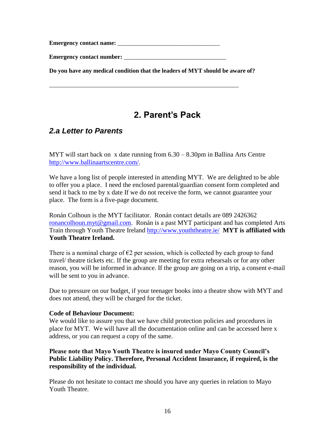**Emergency contact name:** \_\_\_\_\_\_\_\_\_\_\_\_\_\_\_\_\_\_\_\_\_\_\_\_\_\_\_\_\_\_\_\_\_\_

**Emergency contact number:** \_\_\_\_\_\_\_\_\_\_\_\_\_\_\_\_\_\_\_\_\_\_\_\_\_\_\_\_\_\_\_\_\_\_

**Do you have any medical condition that the leaders of MYT should be aware of?**

<span id="page-16-0"></span>\_\_\_\_\_\_\_\_\_\_\_\_\_\_\_\_\_\_\_\_\_\_\_\_\_\_\_\_\_\_\_\_\_\_\_\_\_\_\_\_\_\_\_\_\_\_\_\_\_\_\_\_\_\_\_\_\_\_\_\_\_\_\_

# **2. Parent's Pack**

### <span id="page-16-1"></span>*2.a Letter to Parents*

MYT will start back on x date running from  $6.30 - 8.30$  pm in Ballina Arts Centre [http://www.ballinaartscentre.com/.](http://www.ballinaartscentre.com/)

We have a long list of people interested in attending MYT. We are delighted to be able to offer you a place. I need the enclosed parental/guardian consent form completed and send it back to me by x date If we do not receive the form, we cannot guarantee your place. The form is a five-page document.

Ronán Colhoun is the MYT facilitator. Ronán contact details are 089 2426362 [ronancolhoun.myt@gmail.com.](mailto:ronancolhoun.myt@gmail.com) Ronán is a past MYT participant and has completed Arts Train through Youth Theatre Ireland<http://www.youththeatre.ie/> **MYT is affiliated with Youth Theatre Ireland.** 

There is a nominal charge of  $\epsilon$ 2 per session, which is collected by each group to fund travel/ theatre tickets etc. If the group are meeting for extra rehearsals or for any other reason, you will be informed in advance. If the group are going on a trip, a consent e-mail will be sent to you in advance.

Due to pressure on our budget, if your teenager books into a theatre show with MYT and does not attend, they will be charged for the ticket.

#### **Code of Behaviour Document:**

We would like to assure you that we have child protection policies and procedures in place for MYT. We will have all the documentation online and can be accessed here x address, or you can request a copy of the same.

### **Please note that Mayo Youth Theatre is insured under Mayo County Council's Public Liability Policy. Therefore, Personal Accident Insurance, if required, is the responsibility of the individual.**

Please do not hesitate to contact me should you have any queries in relation to Mayo Youth Theatre.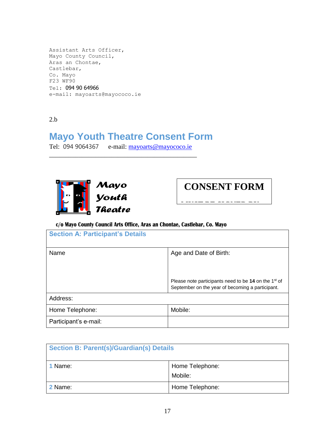```
Assistant Arts Officer,
Mayo County Council,
Aras an Chontae,
Castlebar,
Co. Mayo
F23 WF90
Tel: 094 90 64966
e-mail: mayoarts@mayococo.ie
```
### 2.b

# **Mayo Youth Theatre Consent Form**

Tel: 094 9064367 e-mail: [mayoarts@mayococo.ie](mailto:mayoarts@mayococo.ie) \_\_\_\_\_\_\_\_\_\_\_\_\_\_\_\_\_\_\_\_\_\_\_\_\_\_\_\_\_\_\_\_\_\_\_\_\_\_\_\_\_\_\_\_\_





### c/o Mayo County Council Arts Office, Aras an Chontae, Castlebar, Co. Mayo

| <b>Section A: Participant's Details</b> |                                                                                                                      |  |  |
|-----------------------------------------|----------------------------------------------------------------------------------------------------------------------|--|--|
| Name                                    | Age and Date of Birth:                                                                                               |  |  |
|                                         | Please note participants need to be 14 on the 1 <sup>st</sup> of<br>September on the year of becoming a participant. |  |  |
| Address:                                |                                                                                                                      |  |  |
| Home Telephone:                         | Mobile:                                                                                                              |  |  |
| Participant's e-mail:                   |                                                                                                                      |  |  |

| <b>Section B: Parent(s)/Guardian(s) Details</b> |                            |  |  |
|-------------------------------------------------|----------------------------|--|--|
| 1 Name:                                         | Home Telephone:<br>Mobile: |  |  |
| 2 Name:                                         | Home Telephone:            |  |  |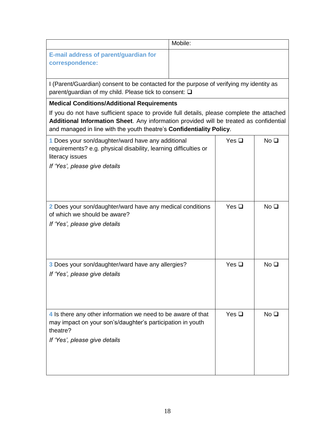|                                                                                                                                                                                                                                                             | Mobile: |            |                 |
|-------------------------------------------------------------------------------------------------------------------------------------------------------------------------------------------------------------------------------------------------------------|---------|------------|-----------------|
| E-mail address of parent/guardian for<br>correspondence:                                                                                                                                                                                                    |         |            |                 |
| I (Parent/Guardian) consent to be contacted for the purpose of verifying my identity as<br>parent/guardian of my child. Please tick to consent: □                                                                                                           |         |            |                 |
| <b>Medical Conditions/Additional Requirements</b>                                                                                                                                                                                                           |         |            |                 |
| If you do not have sufficient space to provide full details, please complete the attached<br>Additional Information Sheet. Any information provided will be treated as confidential<br>and managed in line with the youth theatre's Confidentiality Policy. |         |            |                 |
| 1 Does your son/daughter/ward have any additional<br>requirements? e.g. physical disability, learning difficulties or<br>literacy issues<br>If 'Yes', please give details                                                                                   |         | Yes $\Box$ | No <sub>1</sub> |
| 2 Does your son/daughter/ward have any medical conditions<br>of which we should be aware?<br>If 'Yes', please give details                                                                                                                                  |         | Yes $\Box$ | No <sub>Q</sub> |
| 3 Does your son/daughter/ward have any allergies?<br>If 'Yes', please give details                                                                                                                                                                          |         | Yes $\Box$ | No <sub>1</sub> |
| 4 Is there any other information we need to be aware of that<br>may impact on your son's/daughter's participation in youth<br>theatre?<br>If 'Yes', please give details                                                                                     |         | Yes $\Box$ | No <sub>Q</sub> |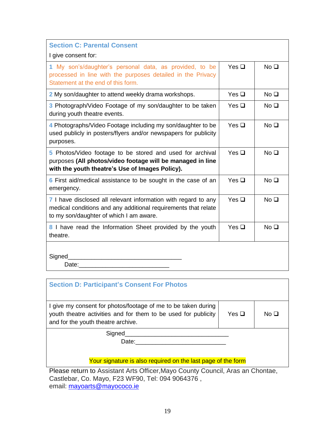| <b>Section C: Parental Consent</b>                                                                                                                                          |            |                 |  |
|-----------------------------------------------------------------------------------------------------------------------------------------------------------------------------|------------|-----------------|--|
| I give consent for:                                                                                                                                                         |            |                 |  |
| 1 My son's/daughter's personal data, as provided, to be<br>processed in line with the purposes detailed in the Privacy<br>Statement at the end of this form.                | Yes $\Box$ | No <sub>Q</sub> |  |
| 2 My son/daughter to attend weekly drama workshops.                                                                                                                         | Yes $\Box$ | No <sub>Q</sub> |  |
| 3 Photograph/Video Footage of my son/daughter to be taken<br>during youth theatre events.                                                                                   | Yes $\Box$ | No <sub>Q</sub> |  |
| 4 Photographs/Video Footage including my son/daughter to be<br>used publicly in posters/flyers and/or newspapers for publicity<br>purposes.                                 | Yes $\Box$ | No <sub>1</sub> |  |
| 5 Photos/Video footage to be stored and used for archival<br>purposes (All photos/video footage will be managed in line<br>with the youth theatre's Use of Images Policy).  | Yes $\Box$ | No <sub>1</sub> |  |
| 6 First aid/medical assistance to be sought in the case of an<br>emergency.                                                                                                 | Yes $\Box$ | No <sub>Q</sub> |  |
| 7 I have disclosed all relevant information with regard to any<br>medical conditions and any additional requirements that relate<br>to my son/daughter of which I am aware. | Yes $\Box$ | No <sub>Q</sub> |  |
| 8 I have read the Information Sheet provided by the youth<br>theatre.                                                                                                       | Yes $\Box$ | No <sub>1</sub> |  |
| Signed                                                                                                                                                                      |            |                 |  |

| <b>Section D: Participant's Consent For Photos</b>                                                                                                                    |               |                 |
|-----------------------------------------------------------------------------------------------------------------------------------------------------------------------|---------------|-----------------|
| I give my consent for photos/footage of me to be taken during<br>youth theatre activities and for them to be used for publicity<br>and for the youth theatre archive. | Yes $\square$ | No <sub>Q</sub> |
| Signed<br>Date:                                                                                                                                                       |               |                 |
| Your signature is also required on the last page of the form<br>Dlogge return to Accipitant Arte Officer Mayo County Council Arge on Chapter                          |               |                 |

Please return to Assistant Arts Officer,Mayo County Council, Aras an Chontae, Castlebar, Co. Mayo, F23 WF90, Tel: 094 9064376 , email: **[mayoarts@mayococo.ie](mailto:mayoarts@mayococo.ie)**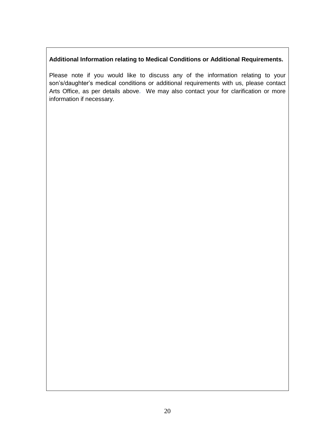### **Additional Information relating to Medical Conditions or Additional Requirements.**

Please note if you would like to discuss any of the information relating to your son's/daughter's medical conditions or additional requirements with us, please contact Arts Office, as per details above**.** We may also contact your for clarification or more information if necessary.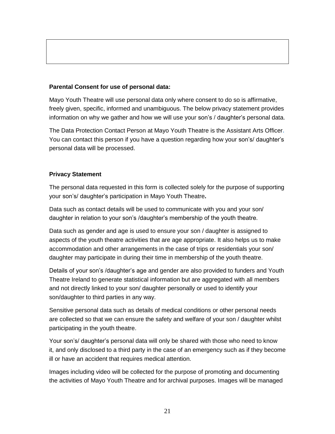#### **Parental Consent for use of personal data:**

Mayo Youth Theatre will use personal data only where consent to do so is affirmative, freely given, specific, informed and unambiguous. The below privacy statement provides information on why we gather and how we will use your son's / daughter's personal data.

The Data Protection Contact Person at Mayo Youth Theatre is the Assistant Arts Officer**.**  You can contact this person if you have a question regarding how your son's/ daughter's personal data will be processed.

#### **Privacy Statement**

The personal data requested in this form is collected solely for the purpose of supporting your son's/ daughter's participation in Mayo Youth Theatre**.**

Data such as contact details will be used to communicate with you and your son/ daughter in relation to your son's /daughter's membership of the youth theatre.

Data such as gender and age is used to ensure your son / daughter is assigned to aspects of the youth theatre activities that are age appropriate. It also helps us to make accommodation and other arrangements in the case of trips or residentials your son/ daughter may participate in during their time in membership of the youth theatre.

Details of your son's /daughter's age and gender are also provided to funders and Youth Theatre Ireland to generate statistical information but are aggregated with all members and not directly linked to your son/ daughter personally or used to identify your son/daughter to third parties in any way.

Sensitive personal data such as details of medical conditions or other personal needs are collected so that we can ensure the safety and welfare of your son / daughter whilst participating in the youth theatre.

Your son's/ daughter's personal data will only be shared with those who need to know it, and only disclosed to a third party in the case of an emergency such as if they become ill or have an accident that requires medical attention.

Images including video will be collected for the purpose of promoting and documenting the activities of Mayo Youth Theatre and for archival purposes. Images will be managed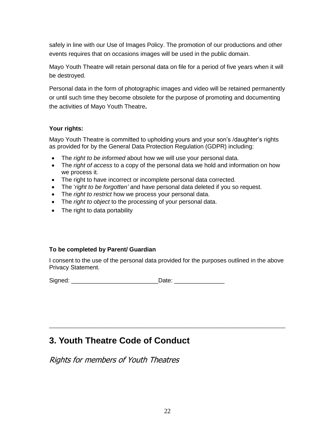safely in line with our Use of Images Policy. The promotion of our productions and other events requires that on occasions images will be used in the public domain.

Mayo Youth Theatre will retain personal data on file for a period of five years when it will be destroyed.

Personal data in the form of photographic images and video will be retained permanently or until such time they become obsolete for the purpose of promoting and documenting the activities of Mayo Youth Theatre**.**

### **Your rights:**

Mayo Youth Theatre is committed to upholding yours and your son's /daughter's rights as provided for by the General Data Protection Regulation (GDPR) including:

- The *right to be informed* about how we will use your personal data.
- The *right of access* to a copy of the personal data we hold and information on how we process it.
- The right to have incorrect or incomplete personal data corrected.
- The '*right to be forgotten'* and have personal data deleted if you so request.
- The *right to restrict* how we process your personal data.
- The *right to object* to the processing of your personal data.
- The right to data portability

### **To be completed by Parent/ Guardian**

I consent to the use of the personal data provided for the purposes outlined in the above Privacy Statement.

<span id="page-22-0"></span>\_\_\_\_\_\_\_\_\_\_\_\_\_\_\_\_\_\_\_\_\_\_\_\_\_\_\_\_\_\_\_\_\_\_\_\_\_\_\_\_\_\_\_\_\_\_\_\_\_\_\_\_\_\_\_\_\_\_\_\_\_\_\_\_\_\_\_\_\_\_\_\_

Signed: \_\_\_\_\_\_\_\_\_\_\_\_\_\_\_\_\_\_\_\_\_\_\_\_\_\_Date: \_\_\_\_\_\_\_\_\_\_\_\_\_\_\_

# **3. Youth Theatre Code of Conduct**

Rights for members of Youth Theatres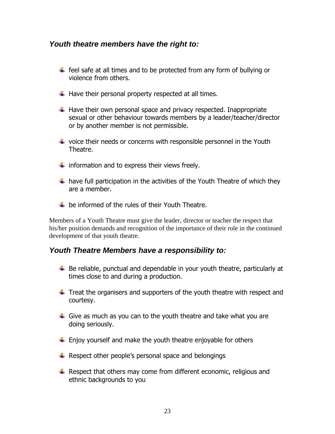### <span id="page-23-0"></span>*Youth theatre members have the right to:*

- $\ddot{\phantom{1}}$  feel safe at all times and to be protected from any form of bullying or violence from others.
- $\downarrow$  Have their personal property respected at all times.
- $\ddot{+}$  Have their own personal space and privacy respected. Inappropriate sexual or other behaviour towards members by a leader/teacher/director or by another member is not permissible.
- $\ddot{\text{+}}$  voice their needs or concerns with responsible personnel in the Youth Theatre.
- $\ddot{\phantom{1}}$  information and to express their views freely.
- $\ddot{+}$  have full participation in the activities of the Youth Theatre of which they are a member.
- $\pm$  be informed of the rules of their Youth Theatre.

Members of a Youth Theatre must give the leader, director or teacher the respect that his/her position demands and recognition of the importance of their role in the continued development of that youth theatre.

### <span id="page-23-1"></span>*Youth Theatre Members have a responsibility to:*

- $\ddot{+}$  Be reliable, punctual and dependable in your youth theatre, particularly at times close to and during a production.
- $\ddot{\phantom{1}}$  Treat the organisers and supporters of the youth theatre with respect and courtesy.
- $\ddot{\phantom{1}}$  Give as much as you can to the youth theatre and take what you are doing seriously.
- $\ddot{\phantom{1}}$  Enjoy yourself and make the youth theatre enjoyable for others
- $\bigstar$  Respect other people's personal space and belongings
- $\ddot{+}$  Respect that others may come from different economic, religious and ethnic backgrounds to you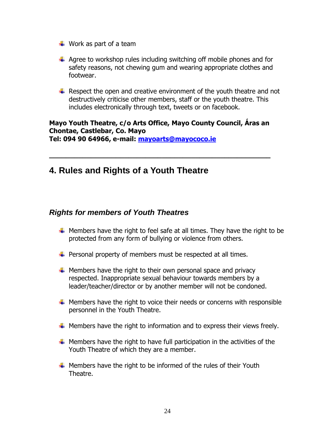- $\ddot{\bullet}$  Work as part of a team
- $\ddot{\phantom{1}}$  Agree to workshop rules including switching off mobile phones and for safety reasons, not chewing gum and wearing appropriate clothes and footwear.
- $\ddot{+}$  Respect the open and creative environment of the youth theatre and not destructively criticise other members, staff or the youth theatre. This includes electronically through text, tweets or on facebook.

# **Mayo Youth Theatre, c/o Arts Office, Mayo County Council, Áras an Chontae, Castlebar, Co. Mayo**

<span id="page-24-0"></span>**\_\_\_\_\_\_\_\_\_\_\_\_\_\_\_\_\_\_\_\_\_\_\_\_\_\_\_\_\_\_\_\_\_\_\_\_\_\_\_\_\_\_\_\_\_\_\_\_\_\_\_\_\_**

**Tel: 094 90 64966, e-mail: [mayoarts@mayococo.ie](mailto:mayoarts@mayococo.ie)**

# **4. Rules and Rights of a Youth Theatre**

### <span id="page-24-1"></span>*Rights for members of Youth Theatres*

- $\ddot{+}$  Members have the right to feel safe at all times. They have the right to be protected from any form of bullying or violence from others.
- $\downarrow$  Personal property of members must be respected at all times.
- $\uparrow$  Members have the right to their own personal space and privacy respected. Inappropriate sexual behaviour towards members by a leader/teacher/director or by another member will not be condoned.
- $\ddotplus$  Members have the right to voice their needs or concerns with responsible personnel in the Youth Theatre.
- $\ddot{+}$  Members have the right to information and to express their views freely.
- $\ddot{+}$  Members have the right to have full participation in the activities of the Youth Theatre of which they are a member.
- $\ddot{+}$  Members have the right to be informed of the rules of their Youth Theatre.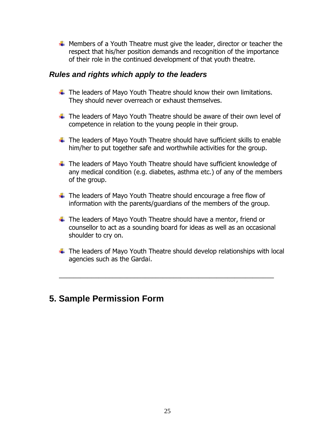$\ddot{+}$  Members of a Youth Theatre must give the leader, director or teacher the respect that his/her position demands and recognition of the importance of their role in the continued development of that youth theatre.

### <span id="page-25-0"></span>*Rules and rights which apply to the leaders*

- $\ddot{\phantom{1}}$  The leaders of Mayo Youth Theatre should know their own limitations. They should never overreach or exhaust themselves.
- $\ddot{\phantom{1}}$  The leaders of Mayo Youth Theatre should be aware of their own level of competence in relation to the young people in their group.
- $\ddotplus$  The leaders of Mayo Youth Theatre should have sufficient skills to enable him/her to put together safe and worthwhile activities for the group.
- $\ddot$  The leaders of Mayo Youth Theatre should have sufficient knowledge of any medical condition (e.g. diabetes, asthma etc.) of any of the members of the group.
- $\ddot$  The leaders of Mayo Youth Theatre should encourage a free flow of information with the parents/guardians of the members of the group.
- $\ddot{\phantom{1}}$  The leaders of Mayo Youth Theatre should have a mentor, friend or counsellor to act as a sounding board for ideas as well as an occasional shoulder to cry on.
- $\ddot{\phantom{1}}$  The leaders of Mayo Youth Theatre should develop relationships with local agencies such as the Gardaí.

\_\_\_\_\_\_\_\_\_\_\_\_\_\_\_\_\_\_\_\_\_\_\_\_\_\_\_\_\_\_\_\_\_\_\_\_\_\_\_\_\_\_\_\_\_\_\_\_\_\_\_\_\_\_\_\_\_\_\_\_

# <span id="page-25-1"></span>**5. Sample Permission Form**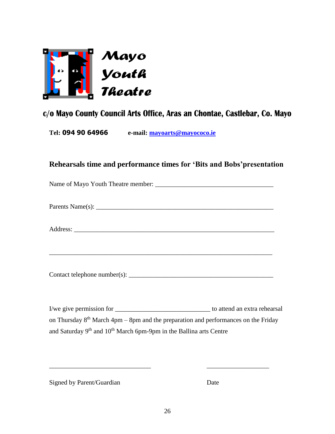

# c/o Mayo County Council Arts Office, Aras an Chontae, Castlebar, Co. Mayo

**Tel: 094 90 64966 e-mail: [mayoarts@mayococo.ie](mailto:mayoarts@mayococo.ie)**

| Rehearsals time and performance times for 'Bits and Bobs' presentation                     |  |  |  |
|--------------------------------------------------------------------------------------------|--|--|--|
|                                                                                            |  |  |  |
|                                                                                            |  |  |  |
|                                                                                            |  |  |  |
| ,我们也不能在这里的人,我们也不能在这里的人,我们也不能在这里的人,我们也不能在这里的人,我们也不能在这里的人,我们也不能在这里的人,我们也不能在这里的人,我们也          |  |  |  |
|                                                                                            |  |  |  |
|                                                                                            |  |  |  |
| on Thursday $8th$ March 4pm – 8pm and the preparation and performances on the Friday       |  |  |  |
| and Saturday 9 <sup>th</sup> and 10 <sup>th</sup> March 6pm-9pm in the Ballina arts Centre |  |  |  |

Signed by Parent/Guardian Date

\_\_\_\_\_\_\_\_\_\_\_\_\_\_\_\_\_\_\_\_\_\_\_\_\_\_\_\_\_\_\_ \_\_\_\_\_\_\_\_\_\_\_\_\_\_\_\_\_\_\_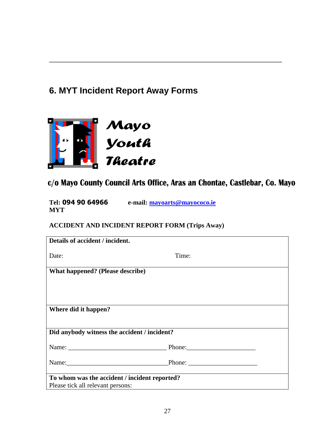# <span id="page-27-0"></span>**6. MYT Incident Report Away Forms**



c/o Mayo County Council Arts Office, Aras an Chontae, Castlebar, Co. Mayo

 $\overline{a_1}$  , and the set of the set of the set of the set of the set of the set of the set of the set of the set of the set of the set of the set of the set of the set of the set of the set of the set of the set of the se

**Tel: 094 90 64966 e-mail: [mayoarts@mayococo.ie](mailto:mayoarts@mayococo.ie) MYT** 

**ACCIDENT AND INCIDENT REPORT FORM (Trips Away)**

| Details of accident / incident.                                                    |       |
|------------------------------------------------------------------------------------|-------|
| Date:                                                                              | Time: |
| What happened? (Please describe)                                                   |       |
|                                                                                    |       |
|                                                                                    |       |
| Where did it happen?                                                               |       |
|                                                                                    |       |
| Did anybody witness the accident / incident?                                       |       |
|                                                                                    |       |
| Name: Phone: Phone: 2008.                                                          |       |
| To whom was the accident / incident reported?<br>Please tick all relevant persons: |       |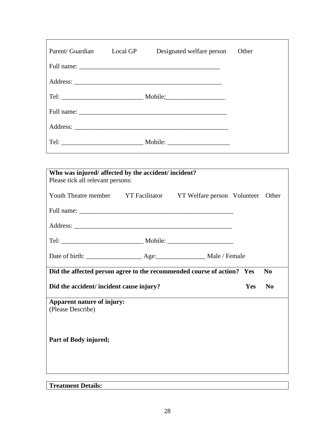| Parent/ Guardian | Local GP | Designated welfare person | Other |
|------------------|----------|---------------------------|-------|
|                  |          |                           |       |
|                  |          |                           |       |
|                  |          |                           |       |
|                  |          |                           |       |
|                  |          |                           |       |
|                  |          |                           |       |

| Who was injured/affected by the accident/incident?                                 |  |  |            |                |  |
|------------------------------------------------------------------------------------|--|--|------------|----------------|--|
| Please tick all relevant persons:                                                  |  |  |            |                |  |
| Youth Theatre member YT Facilitator YT Welfare person Volunteer Other              |  |  |            |                |  |
|                                                                                    |  |  |            |                |  |
|                                                                                    |  |  |            |                |  |
|                                                                                    |  |  |            |                |  |
|                                                                                    |  |  |            |                |  |
| Did the affected person agree to the recommended course of action? Yes<br>$\bf No$ |  |  |            |                |  |
| Did the accident/ incident cause injury?                                           |  |  | <b>Yes</b> | N <sub>0</sub> |  |
| Apparent nature of injury:<br>(Please Describe)                                    |  |  |            |                |  |
| Part of Body injured;                                                              |  |  |            |                |  |

## **Treatment Details:**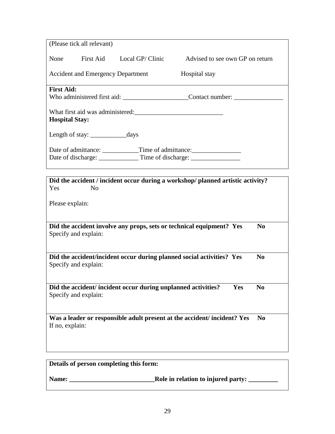| (Please tick all relevant)                                                        |                                                                                        |  |  |  |
|-----------------------------------------------------------------------------------|----------------------------------------------------------------------------------------|--|--|--|
| First Aid Local GP/ Clinic<br>None                                                | Advised to see own GP on return                                                        |  |  |  |
| <b>Accident and Emergency Department</b>                                          | Hospital stay                                                                          |  |  |  |
| <b>First Aid:</b>                                                                 |                                                                                        |  |  |  |
|                                                                                   | Who administered first aid: Contact number:                                            |  |  |  |
| What first aid was administered:<br><b>Hospital Stay:</b>                         |                                                                                        |  |  |  |
|                                                                                   |                                                                                        |  |  |  |
| Date of admittance: _____________Time of admittance: ____________________________ |                                                                                        |  |  |  |
|                                                                                   |                                                                                        |  |  |  |
|                                                                                   |                                                                                        |  |  |  |
| Yes<br>N <sub>0</sub>                                                             | Did the accident / incident occur during a workshop/ planned artistic activity?        |  |  |  |
|                                                                                   |                                                                                        |  |  |  |
| Please explain:                                                                   |                                                                                        |  |  |  |
|                                                                                   |                                                                                        |  |  |  |
| Specify and explain:                                                              | Did the accident involve any props, sets or technical equipment? Yes<br>N <sub>0</sub> |  |  |  |
|                                                                                   |                                                                                        |  |  |  |
| Did the accident/incident occur during planned social activities? Yes             | $\bf No$                                                                               |  |  |  |
| Specify and explain:                                                              |                                                                                        |  |  |  |
|                                                                                   |                                                                                        |  |  |  |
| Did the accident/incident occur during unplanned activities?                      | Yes<br>No                                                                              |  |  |  |
| Specify and explain:                                                              |                                                                                        |  |  |  |
|                                                                                   | Was a leader or responsible adult present at the accident/incident? Yes<br>$\bf No$    |  |  |  |
| If no, explain:                                                                   |                                                                                        |  |  |  |
|                                                                                   |                                                                                        |  |  |  |
|                                                                                   |                                                                                        |  |  |  |
| Details of person completing this form:                                           |                                                                                        |  |  |  |

**Name: \_\_\_\_\_\_\_\_\_\_\_\_\_\_\_\_\_\_\_\_\_\_\_\_\_\_Role in relation to injured party: \_\_\_\_\_\_\_\_\_**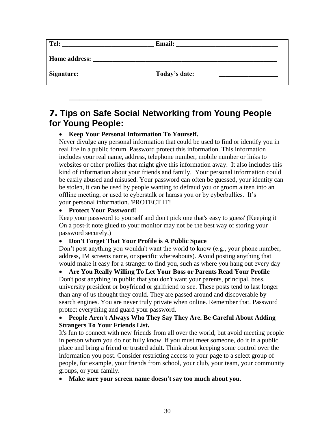| Tel:          | <b>Email:</b> |
|---------------|---------------|
| Home address: |               |
| Signature:    | Today's date: |

\_\_\_\_\_\_\_\_\_\_\_\_\_\_\_\_\_\_\_\_\_\_\_\_\_\_\_\_\_\_\_\_\_\_\_\_\_\_\_\_\_\_\_\_\_\_\_\_\_\_\_\_\_\_

# <span id="page-30-0"></span>**7. Tips on Safe Social Networking from Young People for Young People:**

### • **Keep Your Personal Information To Yourself.**

Never divulge any personal information that could be used to find or identify you in real life in a public forum. Password protect this information. This information includes your real name, address, telephone number, mobile number or links to websites or other profiles that might give this information away. It also includes this kind of information about your friends and family. Your personal information could be easily abused and misused. Your password can often be guessed, your identity can be stolen, it can be used by people wanting to defraud you or groom a teen into an offline meeting, or used to cyberstalk or harass you or by cyberbullies. It's your personal information. 'PROTECT IT!

### • **Protect Your Password!**

Keep your password to yourself and don't pick one that's easy to guess' (Keeping it On a post-it note glued to your monitor may not be the best way of storing your password securely.)

### • **Don't Forget That Your Profile is A Public Space**

Don't post anything you wouldn't want the world to know (e.g., your phone number, address, IM screens name, or specific whereabouts). Avoid posting anything that would make it easy for a stranger to find you, such as where you hang out every day

### • **Are You Really Willing To Let Your Boss or Parents Read Your Profile**

Don't post anything in public that you don't want your parents, principal, boss, university president or boyfriend or girlfriend to see. These posts tend to last longer than any of us thought they could. They are passed around and discoverable by search engines. You are never truly private when online. Remember that. Password protect everything and guard your password.

### • **People Aren't Always Who They Say They Are. Be Careful About Adding Strangers To Your Friends List.**

It's fun to connect with new friends from all over the world, but avoid meeting people in person whom you do not fully know. lf you must meet someone, do it in a public place and bring a friend or trusted adult. Think about keeping some control over the information you post. Consider restricting access to your page to a select group of people, for example, your friends from school, your club, your team, your community groups, or your family.

• **Make sure your screen name doesn't say too much about you**.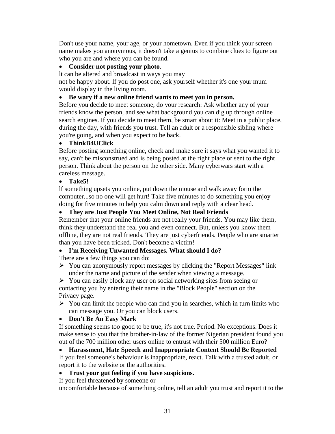Don't use your name, your age, or your hometown. Even if you think your screen name makes you anonymous, it doesn't take a genius to combine clues to figure out who you are and where you can be found.

#### • **Consider not posting your photo**.

lt can be altered and broadcast in ways you may

not be happy about. lf you do post one, ask yourself whether it's one your mum would display in the living room.

#### • **Be wary if a new online friend wants to meet you in person.**

Before you decide to meet someone, do your research: Ask whether any of your friends know the person, and see what background you can dig up through online search engines. If you decide to meet them, be smart about it: Meet in a public place, during the day, with friends you trust. Tell an adult or a responsible sibling where you're going, and when you expect to be back.

#### • **ThinkB4UClick**

Before posting something online, check and make sure it says what you wanted it to say, can't be misconstrued and is being posted at the right place or sent to the right person. Think about the person on the other side. Many cyberwars start with a careless message.

#### • **Take5!**

lf something upsets you online, put down the mouse and walk away form the computer...so no one will get hurt! Take five minutes to do something you enjoy doing for five minutes to help you calm down and reply with a clear head.

#### • **They are Just People You Meet Online, Not Real Friends**

Remember that your online friends are not really your friends. You may like them, think they understand the real you and even connect. But, unless you know them offline, they are not real friends. They are just cyberfriends. People who are smarter than you have been tricked. Don't become a victim!

#### • **I'm Receiving Unwanted Messages. What should I do?**

There are a few things you can do:

➢ You can anonymously report messages by clicking the "Report Messages" link under the name and picture of the sender when viewing a message.

➢ You can easily block any user on social networking sites from seeing or contacting you by entering their name in the "Block People" section on the Privacy page.

 $\triangleright$  You can limit the people who can find you in searches, which in turn limits who can message you. Or you can block users.

#### • **Don't Be An Easy Mark**

If something seems too good to be true, it's not true. Period. No exceptions. Does it make sense to you that the brother-in-law of the former Nigerian president found you out of the 700 million other users online to entrust with their 500 million Euro?

• **Harassment, Hate Speech and Inappropriate Content Should Be Reported** If you feel someone's behaviour is inappropriate, react. Talk with a trusted adult, or report it to the website or the authorities.

#### • **Trust your gut feeling if you have suspicions.**

If you feel threatened by someone or

uncomfortable because of something online, tell an adult you trust and report it to the